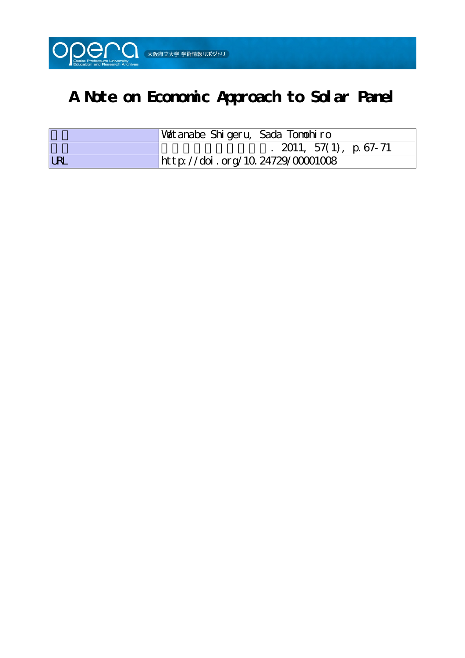

# **A Note on Economic Approach to Solar Panel**

|            | Watanabe Shigeru, Sada Tonohiro  |
|------------|----------------------------------|
|            | 2011, 57(1), p. 67-71            |
| <b>LRL</b> | http://doi.org/10.24729/00001008 |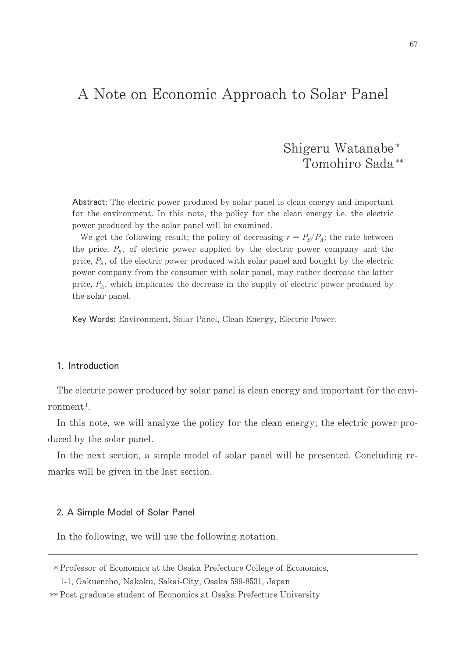# A Note on Economic Approach to Solar Panel

# Shigeru Watanabe\* Tomohiro Sada<sup>\*\*</sup>

Abstract: The electric power produced by solar panel is clean energy and important for the environment. In this note, the policy for the clean energy i.e. the electric power produced by the solar panel will be examined.

We get the following result; the policy of decreasing  $r = P_B/P_A$ ; the rate between the price,  $P_B$ , of electric power supplied by the electric power company and the price,  $P_A$ , of the electric power produced with solar panel and bought by the electric power company from the consumer with solar panel, may rather decrease the latter price,  $P_A$ , which implicates the decrease in the supply of electric power produced by the solar panel.

Key Words: Environment, Solar Panel, Clean Energy, Electric Power.

## 1. Introduction

The electric power produced by solar panel is clean energy and important for the environment<sup>1</sup>.

In this note, we will analyze the policy for the clean energy; the electric power produced by the solar panel.

In the next section, a simple model of solar panel will be presented. Concluding remarks will be given in the last section.

#### 2. A Simple Model of Solar Panel

In the following, we will use the following notation.

<sup>\*</sup> Professor of Economics at the Osaka Prefecture College of Economics,

<sup>1-1,</sup> Gakuencho, Nakaku, Sakai-City, Osaka 599-8531, Japan

<sup>\*\*</sup> Post graduate student of Economics at Osaka Prefecture University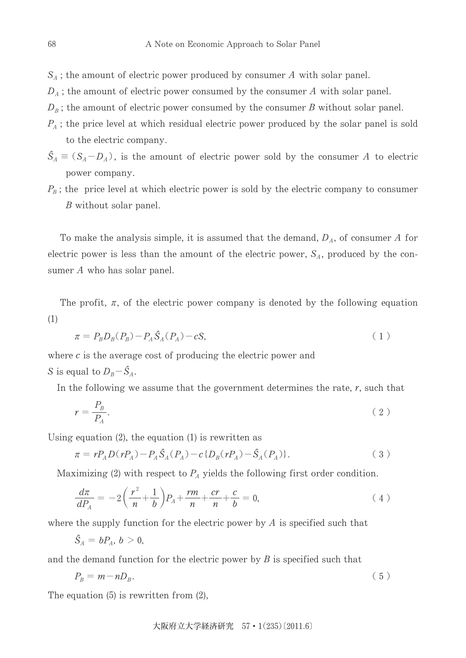$S_A$ ; the amount of electric power produced by consumer A with solar panel.

- $D_A$ ; the amount of electric power consumed by the consumer A with solar panel.
- $D_B$ ; the amount of electric power consumed by the consumer B without solar panel.
- $P_A$ ; the price level at which residual electric power produced by the solar panel is sold to the electric company.
- $\hat{S}_A \equiv (S_A D_A)$ , is the amount of electric power sold by the consumer A to electric power company.
- $P_B$ ; the price level at which electric power is sold by the electric company to consumer *B* without solar panel.

To make the analysis simple, it is assumed that the demand,  $D_A$ , of consumer A for electric power is less than the amount of the electric power,  $S_A$ , produced by the consumer  $A$  who has solar panel.

The profit,  $\pi$ , of the electric power company is denoted by the following equation  $(1)$ 

$$
\pi = P_B D_B (P_B) - P_A \hat{S}_A (P_A) - cS,
$$
\n(1)

where  $c$  is the average cost of producing the electric power and

S is equal to  $D_B - \hat{S}_A$ .

In the following we assume that the government determines the rate,  $r$ , such that

$$
r = \frac{P_B}{P_A}.\tag{2}
$$

Using equation  $(2)$ , the equation  $(1)$  is rewritten as

$$
\pi = rP_A D(rP_A) - P_A \hat{S}_A(P_A) - c \{ D_B(rP_A) - \hat{S}_A(P_A) \}.
$$
\n(3)

Maximizing (2) with respect to  $P_A$  yields the following first order condition.

$$
\frac{d\pi}{dP_A} = -2\left(\frac{r^2}{n} + \frac{1}{b}\right)P_A + \frac{rm}{n} + \frac{cr}{n} + \frac{c}{b} = 0,\tag{4}
$$

where the supply function for the electric power by  $\tilde{A}$  is specified such that

$$
\hat{S}_A = bP_A, b > 0,
$$

and the demand function for the electric power by  $B$  is specified such that

$$
P_B = m - n D_B. \tag{5}
$$

The equation  $(5)$  is rewritten from  $(2)$ ,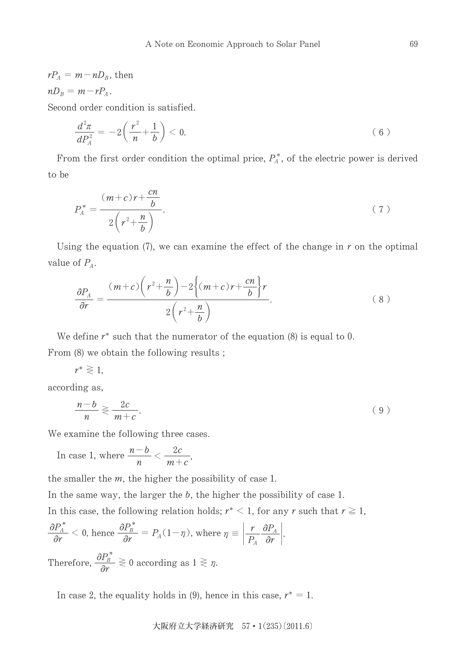$$
rP_A = m - nD_B
$$
, then  

$$
nD_B = m - rP_A
$$
.

Second order condition is satisfied.

$$
\frac{d^2\pi}{dP_A^2} = -2\left(\frac{r^2}{n} + \frac{1}{b}\right) < 0. \tag{6}
$$

From the first order condition the optimal price,  $P_A^*$ , of the electric power is derived to be

$$
P_A^* = \frac{(m+c)r + \frac{cn}{b}}{2\left(r^2 + \frac{n}{b}\right)}.\tag{7}
$$

Using the equation (7), we can examine the effect of the change in  $r$  on the optimal value of  $P_A$ .

$$
\frac{\partial P_A}{\partial r} = \frac{(m+c)\left(r^2 + \frac{n}{b}\right) - 2\left\{(m+c)r + \frac{cn}{b}\right\}r}{2\left(r^2 + \frac{n}{b}\right)}.
$$
\n(8)

We define  $r^*$  such that the numerator of the equation (8) is equal to 0. From (8) we obtain the following results;

$$
r^* \gtrless 1,
$$

according as,

$$
\frac{n-b}{n} \geqslant \frac{2c}{m+c}.\tag{9}
$$

We examine the following three cases.

In case 1, where  $\frac{n-b}{n} < \frac{2c}{m+c}$ ,

the smaller the  $m$ , the higher the possibility of case 1.

In the same way, the larger the  $b$ , the higher the possibility of case 1.

In this case, the following relation holds;  $r^* < 1$ , for any r such that  $r \ge 1$ ,

$$
\frac{\partial P_A^*}{\partial r} < 0 \text{, hence } \frac{\partial P_B^*}{\partial r} = P_A(1 - \eta), \text{ where } \eta \equiv \left| \frac{r}{P_A} \frac{\partial P_A}{\partial r} \right|.
$$

Therefore,  $\frac{\partial P_B}{\partial r} \geq 0$  according as  $1 \geq \eta$ .

In case 2, the equality holds in (9), hence in this case,  $r^* = 1$ .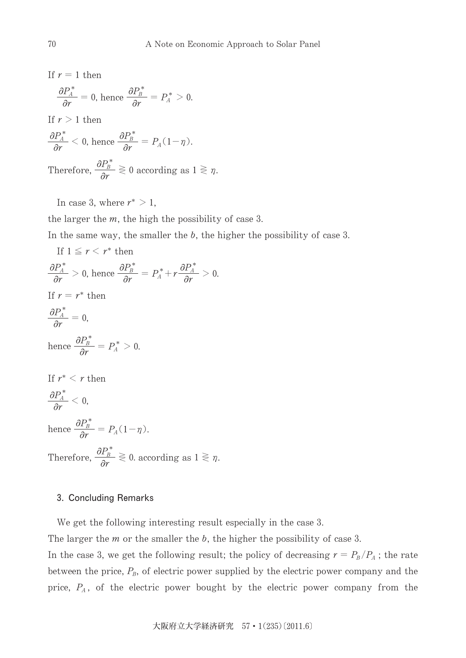If  $r = 1$  then  $\partial P^{\,\ast}_{\!A_{--}}$  $\frac{r_A}{\partial r} = 0$ , hence - $\frac{\partial P_{\scriptscriptstyle B}^*}{\partial r} = P_{\scriptscriptstyle A}^* > 0.$ If  $r > 1$  then  $\partial P^*_A$  $\frac{\partial P_A^*}{\partial r} < 0$ , hence  $\frac{\partial P_B^*}{\partial r}$  $\frac{P_B}{\partial r} = P_A(1-\eta).$ Therefore,  $\frac{\partial P_B^*}{\partial r} \gtrless 0$  according as  $1 \gtrless \eta$ .

In case 3, where  $r^* > 1$ ,

the larger the  $m$ , the high the possibility of case 3.

In the same way, the smaller the  $b$ , the higher the possibility of case 3.

If  $1 \leq r < r^*$  then  $\partial {P^*_A}^*$  $\frac{\partial P_A^*}{\partial r} > 0$ , hence  $\frac{\partial P_B^*}{\partial r} = P_A^* + r \frac{\partial P_A^*}{\partial r}$  $\frac{d^{2}A}{dr} > 0.$ If  $r = r^*$  then  $\partial P^{\,\ast}_{\!A_{-}}$  $\frac{d^{2}A}{dr} = 0,$ hence  $\frac{\partial P^{\ast}_{\scriptscriptstyle{B}}}{\partial r} = P^{\ast}_{\scriptscriptstyle{A}} > 0.$ If  $r^* < r$  then  $\partial P^{\,\ast}_{\!A_{-}}$  $\frac{d^{T}A}{dr}<0,$ hence  $\frac{\partial P_B^*}{\partial \rho}$  $\frac{P_B}{\partial r} = P_A(1-\eta).$ 

Therefore,  $\frac{\partial P_B^*}{\partial r} \gtrless 0$ . according as  $1 \gtrless \eta$ .

## 3. Concluding Remarks

We get the following interesting result especially in the case 3.

The larger the  $m$  or the smaller the  $b$ , the higher the possibility of case 3.

In the case 3, we get the following result; the policy of decreasing  $r = P_B/P_A$ ; the rate between the price,  $P_B$ , of electric power supplied by the electric power company and the price,  $P_A$ , of the electric power bought by the electric power company from the